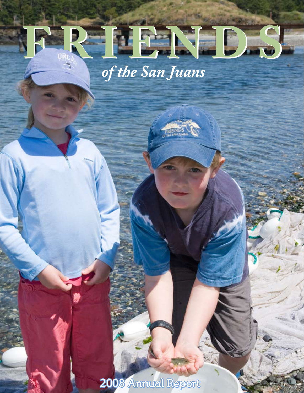# **FRIENDS FRIENDS** *of the San Juans*

2008 Annual Report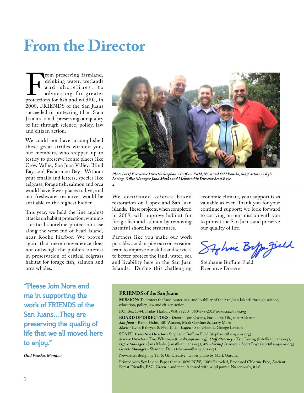## **From the Director**

From preserving farmland,<br>drinking water, wetlands<br>and shorelines, to<br>advocating for greater<br>protections for fish and wildlife, in<br>2008, FRIENDS of the San Juans drinking water, wetlands and shorelines, to advocating for greater protections for fish and wildlife, in 2008, FRIENDS of the San Juans succeeded in protecting the San Juans and preserving our quality of life through science, policy, law and citizen action.

We could not have accomplished these great strides without you, our members, who stepped up to testify to preserve iconic places like Crow Valley, San Juan Valley, Blind Bay, and Fisherman Bay. Without your emails and letters, species like eelgrass, forage fish, salmon and orca would have fewer places to live; and our freshwater resources would be available to the highest bidder.

This year, we held the line against attacks on habitat protection, winning a critical shoreline protection case along the west end of Pearl Island, near Roche Harbor. We proved again that mere convenience does not outweigh the public's interest in preservation of critical eelgrass habitat for forage fish, salmon and orca whales.

**"Please Join Nora and me in supporting the**  work of FRIENDS of the **San Juans…They are preserving the quality of life that we all moved here to enjoy."** 

*Odd Fausko, Member*



*Photo l to r) Executive Director Stephanie Buffum Field, Nora and Odd Fausko, Staff Attorney Kyle Loring, Office Manager Jana Marks and Membership Director Scott Boye.*

We continued science-based restoration on Lopez and San Juan islands. These projects, when completed in 2009, will improve habitat for forage fish and salmon by removing harmful shoreline structures.

Partners like you make our work possible…and inspire our conservation team to improve our skills and services to better protect the land, water, sea and livability here in the San Juan Islands. During this challenging

economic climate, your support is as valuable as ever. Thank you for your continued support; we look forward to carrying on our mission with you to protect the San Juans and preserve our quality of life.

Stohnic Bypa Jield

Stephanie Buffum Field Executive Director

#### **FRIENDS of the San Juans**

**MISSION:** To protect the land, water, sea, and livability of the San Juan Islands through science, education, policy, law and citizen action.

P.O. Box 1344, Friday Harbor, WA 98250 360-378-2319 *www.sanjuans.org*

**BOARD OF DIRECTORS:** *Orcas* - Tom Owens, Farouk Seif & Janet Alderton *San Juan* - Ralph Hahn, Bill Watson, Mark Gardner & Larry Marx

*Shaw* - Lynn Bahrych & Fred Ellis | *Lopez* - San Olson & George Lawson

**STAFF:** *Executive Director* - Stephanie Buffum Field (stephanie@sanjuans.org) *Science Director* - Tina Whitman (tina@sanjuans.org), *Staff Attorney* - Kyle Loring (kyle@sanjuans.org), *Office Manager* - Jana Marks (jana@sanjuans.org), *Membership Director* - Scott Boye (scott@sanjuans.org) *Grants Manager* - Shannon Davis (shannon@sanjuans.org).

Newsletter design by Tif & Gif Creative. Cover photo by Mark Gardner

Printed with Soy Ink on Paper that is 100% PCW, 100% Recycled, Processed Chlorine Free, Ancient Forest Friendly, FSC, Green-e and manufactured with wind power. No seriously, it is!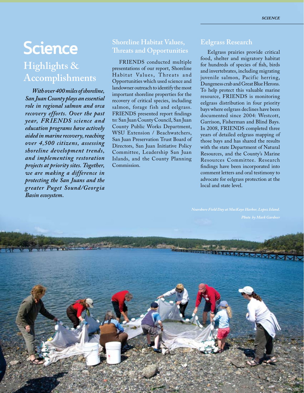### **Science Highlights & Accomplishments**

*With over 400 miles of shoreline, San Juan County plays an essential role in regional salmon and orca recovery efforts. Over the past year, FR IENDS science and education programs have actively aided in marine recovery, reaching over 4,500 citizens, assessing shoreline development trends, and implementing restoration projects at priority sites. Together, we are making a difference in protecting the San Juans and the greater Puget Sound/Georgia Basin ecosystem.*

#### **Shoreline Habitat Values, Threats and Opportunities**

FRIENDS conducted multiple presentations of our report, Shoreline Habitat Values, Threats and Opportunities which used science and landowner outreach to identify the most important shoreline properties for the recovery of critical species, including salmon, forage fish and eelgrass. FRIENDS presented report findings to: San Juan County Council, San Juan County Public Works Department, WSU Extension / Beachwatchers, San Juan Preservation Trust Board of Directors, San Juan Initiative Policy Committee, Leadership San Juan Islands, and the County Planning Commission.

#### **Eelgrass Research**

Eelgrass prairies provide critical food, shelter and migratory habitat for hundreds of species of fish, birds and invertebrates, including migrating juvenile salmon, Pacific herring, Dungeness crab and Great Blue Herons. To help protect this valuable marine resource, FRIENDS is monitoring eelgrass distribution in four priority bays where eelgrass declines have been documented since 2004: Westcott, Garrison, Fisherman and Blind Bays. In 2008, FRIENDS completed three years of detailed eelgrass mapping of those bays and has shared the results with the state Department of Natural Resources, and the County's Marine Resources Committee. Research findings have been incorporated into comment letters and oral testimony to advocate for eelgrass protection at the local and state level.

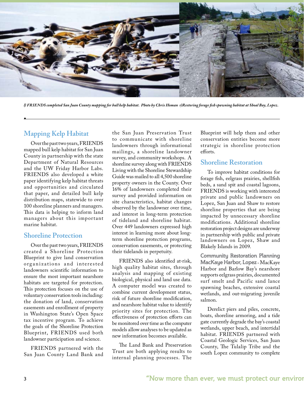

*l) FRIENDS completed San Juan County mapping for bull kelp habitat. Photo by Chris Homan r)Restoring forage fish spawning habitat at Shoal Bay, Lopez.*

#### **Mapping Kelp Habitat**

Over the past two years, FRIENDS mapped bull kelp habitat for San Juan County in partnership with the state Department of Natural Resources and the UW Friday Harbor Labs. FRIENDS also developed a white paper identifying kelp habitat threats and opportunities and circulated that paper, and detailed bull kelp distribution maps, statewide to over 100 shoreline planners and managers. This data is helping to inform land managers about this important marine habitat.

#### **Shoreline Protection**

Over the past two years, FRIENDS created a Shoreline Protection Blueprint to give land conservation organizations and interested landowners scientific information to ensure the most important nearshore habitats are targeted for protection. This protection focuses on the use of voluntary conservation tools including: the donation of land, conservation easements and enrollment of property in Washington State's Open Space tax incentive program. To achieve the goals of the Shoreline Protection Blueprint, FRIENDS used both landowner participation and science.

FRIENDS partnered with the San Juan County Land Bank and

the San Juan Preservation Trust to communicate with shoreline landowners through informational mailings, a shoreline landowner survey, and community workshops. A shoreline survey along with FRIENDS Living with the Shoreline Stewardship Guide was mailed to all 4,500 shoreline property owners in the County. Over 16% of landowners completed their survey and provided information on site characteristics, habitat changes observed by the landowner over time, and interest in long-term protection of tideland and shoreline habitat. Over 449 landowners expressed high interest in learning more about longterm shoreline protection programs, conservation easements, or protecting their tidelands in perpetuity.

FRIENDS also identified at-risk, high quality habitat sites, through analysis and mapping of existing biological, physical and land use data. A computer model was created to combine current development status, risk of future shoreline modification, and nearshore habitat value to identify priority sites for protection. The effectiveness of protection efforts can be monitored over time as the computer models allow analyses to be updated as new information becomes available.

The Land Bank and Preservation Trust are both applying results to internal planning processes. The Blueprint will help them and other conservation entities become more strategic in shoreline protection efforts.

#### **Shoreline Restoration**

To improve habitat conditions for forage fish, eelgrass prairies, shellfish beds, a sand spit and coastal lagoons, FRIENDS is working with interested private and public landowners on Lopez, San Juan and Shaw to restore shoreline properties that are being impacted by unnecessary shoreline modifications. Additional shoreline restoration project designs are underway in partnership with public and private landowners on Lopez, Shaw and Blakely Islands in 2009.

**Community Restoration Planning MacKaye Harbor, Lopez** - MacKaye Harbor and Barlow Bay's nearshore supports eelgrass prairies, documented surf smelt and Pacific sand lance spawning beaches, extensive coastal wetlands, and out-migrating juvenile salmon.

Derelict piers and piles, concrete, boats, shoreline armoring, and a tide gate currently degrade the bay's coastal wetlands, upper beach, and intertidal habitat. FRIENDS partnered with Coastal Geologic Services, San Juan County, The Tulalip Tribe and the south Lopez community to complete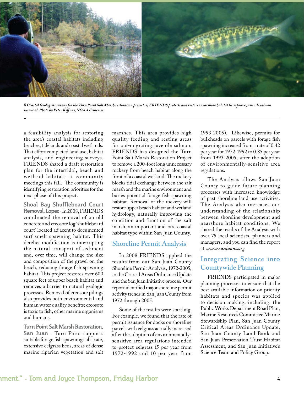

*l) Coastal Geologists survey for the Turn Point Salt Marsh restoration project. r) FRIENDS protects and restores nearshore habitat to improve juvenile salmon survival. Photo by Peter Kiffney, NOAA Fisheries*

a feasibility analysis for restoring the area's coastal habitats including beaches, tidelands and coastal wetlands. That effort completed land use, habitat analysis, and engineering surveys. FRIENDS shared a draft restoration plan for the intertidal, beach and wetland habitats at community meetings this fall. The community is identifying restoration priorities for the next phase of this project.

**Shoal Bay Shuffleboard Court Removal, Lopez** -In 2008, FRIENDS coordinated the removal of an old concrete and creosote log 'shuffleboard court' located adjacent to documented surf smelt spawning habitat. This derelict modification is interrupting the natural transport of sediment and, over time, will change the size and composition of the gravel on the beach, reducing forage fish spawning habitat. This project restores over 600 square feet of upper beach habitat and removes a barrier to natural geologic processes. Removal of creosote pilings also provides both environmental and human water quality benefits; creosote is toxic to fish, other marine organisms and humans.

**Turn Point Salt Marsh Restoration, San Juan** - Turn Point supports suitable forage fish spawning substrate, extensive eelgrass beds, areas of dense marine riparian vegetation and salt marshes. This area provides high quality feeding and resting areas for out-migrating juvenile salmon. FRIENDS has designed the Turn Point Salt Marsh Restoration Project to remove a 200-foot long unnecessary rockery from beach habitat along the front of a coastal wetland. The rockery blocks tidal exchange between the salt marsh and the marine environment and buries potential forage fish spawning habitat. Removal of the rockery will restore upper beach habitat and wetland hydrology, naturally improving the condition and function of the salt marsh, an important and rare coastal habitat type within San Juan County.

#### **Shoreline Permit Analysis**

In 2008 FRIENDS applied the results from our San Juan County Shoreline Permit Analysis, 1972-2005, to the Critical Areas Ordinance Update and the San Juan Initiative process. Our report identified major shoreline permit activity trends in San Juan County from 1972 through 2005.

Some of the results were startling. For example, we found that the rate of permit issuance for docks on shoreline parcels with eelgrass actually increased after the adoption of environmentallysensitive area regulations intended to protect eelgrass (5 per year from 1972-1992 and 10 per year from 1993-2005). Likewise, permits for bulkheads on parcels with forage fish spawning increased from a rate of 0.42 per year for 1972-1992 to 0.85 per year from 1993-2005, after the adoption of environmentally-sensitive area regulations.

The Analysis allows San Juan County to guide future planning processes with increased knowledge of past shoreline land use activities. The Analysis also increases our understanding of the relationship between shoreline development and nearshore habitat conditions. We shared the results of the Analysis with over 75 local scientists, planners and managers, and you can find the report at *www.sanjuans.org*.

#### **Integrating Science into Countywide Planning**

FRIENDS participated in major planning processes to ensure that the best available information on priority habitats and species was applied to decision making, including: the Public Works Department Road Plan, Marine Resources Committee Marine Stewardship Plan, San Juan County Critical Areas Ordinance Update, San Juan County Land Bank and San Juan Preservation Trust Habitat Assessment, and San Juan Initiative's Science Team and Policy Group.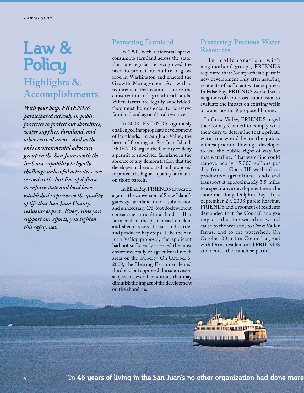## **Law & Policy Highlights & Accomplishments**

*With your help, FRIENDS participated actively in public processes to protect our shorelines, water supplies, farmland, and other critical areas. And as the only environmental advocacy group in the San Juans with the in-house capability to legally challenge unlawful activities, we served as the last line of defense to enforce state and local laws established to preserve the quality of life that San Juan County residents expect. Every time you support our efforts, you tighten this safety net.*

#### **Protecting Farmland**

In 1990, with residential sprawl consuming farmland across the state, the state legislature recognized the need to protect our ability to grow food in Washington and enacted the Growth Management Act with a requirement that counties ensure the conservation of agricultural lands. When farms are legally subdivided, they must be designed to conserve farmland and agricultural resources.

In 2008, FRIENDS vigorously challenged inappropriate development of farmlands. In San Juan Valley, the heart of farming on San Juan Island, FRIENDS urged the County to deny a permit to subdivide farmland in the absence of any demonstration that the developer had evaluated and proposed to protect the highest quality farmland on those parcels.

In Blind Bay, FRIENDS advocated against the conversion of Shaw Island's gateway farmland into a subdivision and unnecessary 175-foot dock without conserving agricultural lands. That farm had in the past raised chicken and sheep, reared horses and cattle, and produced hay crops. Like the San Juan Valley proposal, the applicant had not sufficiently assessed the most environmentally or agriculturally rich areas on the property. On October 6, 2008, the Hearing Examiner denied the dock, but approved the subdivision subject to several conditions that may diminish the impact of the development on the shoreline.

#### **Protecting Precious Water Resources**

In collaboration with neighborhood groups, FRIENDS requested that County officials permit new development only after assuring residents of sufficient water supplies. In False Bay, FRIENDS worked with neighbors of a proposed subdivision to evaluate the impact on existing wells of water use for 9 proposed homes.

 In Crow Valley, FRIENDS urged the County Council to comply with their duty to determine that a private waterline would be in the public interest prior to allowing a developer to use the public right-of-way for that waterline. That waterline could remove nearly 15,000 gallons per day from a Class III wetland on productive agricultural lands and transport it approximately 3.5 miles to a speculative development near the shoreline along Dolphin Bay. In a September 29, 2008 public hearing, FRIENDS and a roomful of residents demanded that the Council analyze impacts that the waterline would cause to the wetland, to Crow Valley farms, and to the watershed. On October 20th the Council agreed with Orcas residents and FRIENDS and denied the franchise permit.

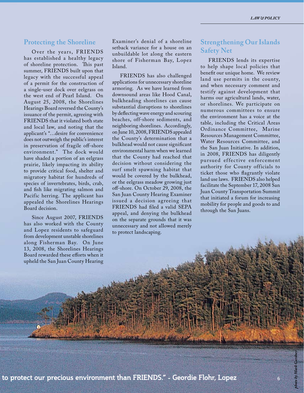#### **Protecting the Shoreline**

Over the years, FRIENDS has established a healthy legacy of shoreline protection. This past summer, FRIENDS built upon that legacy with the successful appeal of a permit for the construction of a single-user dock over eelgrass on the west end of Pearl Island. On August 25, 2008, the Shorelines Hearings Board reversed the County's issuance of the permit, agreeing with FRIENDS that it violated both state and local law, and noting that the applicant's "…desire for convenience does not outweigh the public's interest in preservation of fragile off-shore environment." The dock would have shaded a portion of an eelgrass prairie, likely impacting its ability to provide critical food, shelter and migratory habitat for hundreds of species of invertebrates, birds, crab, and fish like migrating salmon and Pacific herring. The applicant has appealed the Shorelines Hearings Board decision.

Since August 2007, FRIENDS has also worked with the County and Lopez residents to safeguard from development unstable shorelines along Fisherman Bay. On June 13, 2008, the Shorelines Hearings Board rewarded these efforts when it upheld the San Juan County Hearing Examiner's denial of a shoreline setback variance for a house on an unbuildable lot along the eastern shore of Fisherman Bay, Lopez Island.

FRIENDS has also challenged applications for unnecessary shoreline armoring. As we have learned from downsound areas like Hood Canal, bulkheading shorelines can cause substantial disruptions to shorelines by deflecting wave energy and scouring beaches, off-shore sediments, and neighboring shorelines. Accordingly, on June 10, 2008, FRIENDS appealed the County's determination that a bulkhead would not cause significant environmental harm when we learned that the County had reached that decision without considering the surf smelt spawning habitat that would be covered by the bulkhead, or the eelgrass meadow growing just off-shore. On October 29, 2008, the San Juan County Hearing Examiner issued a decision agreeing that FRIENDS had filed a valid SEPA appeal, and denying the bulkhead on the separate grounds that it was unnecessary and not allowed merely to protect landscaping.

#### **Strengthening Our Islands Safety Net**

FRIENDS lends its expertise to help shape local policies that benefit our unique home. We review land use permits in the county, and when necessary comment and testify against development that harms our agricultural lands, water, or shorelines. We participate on numerous committees to ensure the environment has a voice at the table, including the Critical Areas Ordinance Committee, Marine Resources Management Committee, Water Resources Committee, and the San Juan Initiative. In addition, in 2008, FRIENDS has diligently pursued effective enforcement authority for County officials to ticket those who flagrantly violate land use laws. FRIENDS also helped facilitate the September 17, 2008 San Juan County Transportation Summit that initiated a forum for increasing mobility for people and goods to and through the San Juans.

*photo by Mark Gardner*

6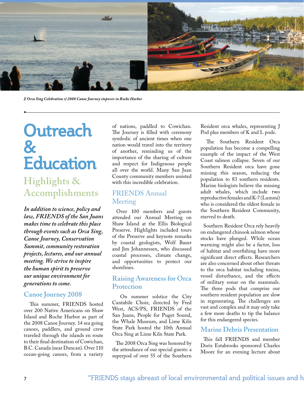

*l) Orca Sing Celebration r) 2008 Canoe Journey stopover in Roche Harbor*

## **Outreach & Education**

### **Highlights & Accomplishments**

*In addition to science, policy and law, FRIENDS of the San Juans makes time to celebrate this place through events such as Orca Sing, Canoe Journey, Conservation Summit, community restoration projects, lectures, and our annual meeting. We strive to inspire the human spirit to preserve our unique environment for generations to come.*

#### **Canoe Journey 2008**

 This summer, FRIENDS hosted over 200 Native Americans on Shaw Island and Roche Harbor as part of the 2008 Canoe Journey. 14 sea going canoes, paddlers, and ground crew traveled through the islands en route to their final destination of Cowichan, B.C. Canada (near Duncan). Over 110 ocean-going canoes, from a variety

of nations, paddled to Cowichan. The Journey is filled with ceremony symbolic of ancient times when one nation would travel into the territory of another, reminding us of the importance of the sharing of culture and respect for Indigenous people all over the world. Many San Juan County community members assisted with this incredible celebration.

#### FRIENDS Annual Meeting

 Over 100 members and guests attended our Annual Meeting on Shaw Island at the Ellis Biological Preserve. Highlights included tours of the Preserve and keynote remarks by coastal geologists, Wolf Bauer and Jim Johannessen, who discussed coastal processes, climate change, and opportunities to protect our shorelines.

#### **Raising Awareness for Orca Protection**

 On summer solstice the City Cantabile Choir, directed by Fred West, ACS/PS, FRIENDS of the San Juans, People for Puget Sound, the Whale Museum, and Lime Kiln State Park hosted the 10th Annual Orca Sing at Lime Kiln State Park.

 The 2008 Orca Sing was honored by the attendance of our special guests: a superpod of over 55 of the Southern Resident orca whales, representing J Pod plus members of K and L pods.

 The Southern Resident Orca population has become a compelling example of the impact of the West Coast salmon collapse. Seven of our Southern Resident orca have gone missing this season, reducing the population to 83 southern residents. Marine biologists believe the missing adult whales, which include two reproductive females and K-7 (Lummi) who is considered the oldest female in the Southern Resident Community, starved to death.

 Southern Resident Orca rely heavily on endangered chinook salmon whose stocks have plunged. While ocean warming might also be a factor, loss of habitat and overfishing have more significant direct effects. Researchers are also concerned about other threats to the orca habitat including toxins, vessel disturbance, and the effects of military sonar on the mammals. The three pods that comprise our southern resident population are slow in regenerating. The challenges are vast and complex and it may only take a few more deaths to tip the balance for this endangered species.

#### **Marine Debris Presentation**

 This fall FRIENDS and member Doris Estabrooks sponsored Charles Moore for an evening lecture about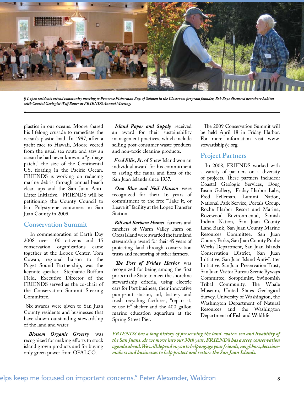

*l) Lopez residents attend community meeting to Preserve Fisherman Bay. r) Salmon in the Classroom program founder, Bob Boye discussed nearshore habitat with Coastal Geologist Wolf Bauer at FRIENDS Annual Meeting.*

plastics in our oceans. Moore shared his lifelong crusade to remediate the ocean's plastic load. In 1997, after a yacht race to Hawaii, Moore veered from the usual sea route and saw an ocean he had never known, a "garbage patch," the size of the Continental US, floating in the Pacific Ocean. FRIENDS is working on reducing marine debris through annual beach clean ups and the San Juan Anti-Litter Initiative. FRIENDS will be petitioning the County Council to ban Polystyrene containers in San Juan County in 2009.

#### **Conservation Summit**

 In commemoration of Earth Day 2008 over 100 citizens and 15 conservation organizations came together at the Lopez Center. Tom Cowan, regional liaison to the Puget Sound Partnership, was the keynote speaker. Stephanie Buffum Field, Executive Director of the FRIENDS served as the co-chair of the Conservation Summit Steering Committee.

 Six awards were given to San Juan County residents and businesses that have shown outstanding stewardship of the land and water.

 *Blossom Organic Grocery* was recognized for making efforts to stock island grown products and for buying only green power from OPALCO.

*Island Paper and Supply* received an award for their sustainability management practices, which include selling post-consumer waste products and non-toxic cleaning products.

 *Fred Ellis, Sr.* of Shaw Island won an individual award for his commitment to saving the fauna and flora of the San Juan Islands since 1937.

 *Ona Blue and Neil Hanson* were recognized for their 16 years of commitment to the free "Take it, or Leave it" facility at the Lopez Transfer Station.

 *Bill and Barbara Humes*, farmers and ranchers of Warm Valley Farm on Orcas Island were awarded the farmland stewardship award for their 45 years of protecting land through conservation trusts and mentoring of other farmers.

 *The Port of Friday Harbor* was recognized for being among the first ports in the State to meet the shoreline stewardship criteria, using electric cars for Port business, their innovative pump-out station, oil, battery and trash recycling facilities, "repair it, re-use it" shelter and the 400-gallon marine education aquarium at the Spring Street Pier.

 The 2009 Conservation Summit will be held April 18 in Friday Harbor. For more information visit www. stewardshipsjc.org.

#### **Project Partners**

 In 2008, FRIENDS worked with a variety of partners on a diversity of projects. These partners included: Coastal Geologic Services, Doug Bison Gallery, Friday Harbor Labs, Fred Felleman, Lummi Nation, National Park Service, Portals Group, Roche Harbor Resort and Marina, Rozewood Environmental, Samish Indian Nation, San Juan County Land Bank, San Juan County Marine Resources Committee, San Juan County Parks, San Juan County Public Works Department, San Juan Islands Conservation District, San Juan Initiative, San Juan Island Anti-Litter Initiative, San Juan Preservation Trust, San Juan Visitor Bureau Scenic Byways Committee, Soroptimist, Swinomish Tribal Community, The Whale Museum, United States Geological Survey, University of Washington, the Washington Department of Natural Resources and the Washington Department of Fish and Wildlife.

*FRIENDS has a long history of preserving the land, water, sea and livability of the San Juans. As we move into our 30th year, FRIENDS has a steep conservation agenda ahead. We will depend on you to help engage your friends, neighbors,decisionmakers and businesses to help protect and restore the San Juan Islands.*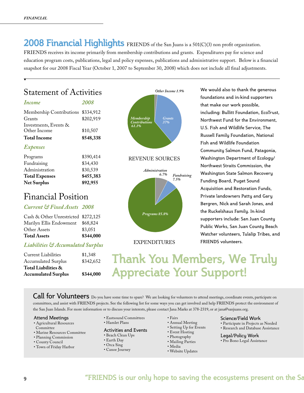**2008 Financial Highlights** FRIENDS of the San Juans is a 501(C)(3) non profit organization. FRIENDS receives its income primarily from membership contributions and grants. Expenditures pay for science and education program costs, publications, legal and policy expenses, publications and administrative support. Below is a financial snapshot for our 2008 Fiscal Year (October 1, 2007 to September 30, 2008) which does not include all final adjustments.

### Statement of Activities

| <i>Income</i>                         | <i>2008</i> |
|---------------------------------------|-------------|
| Membership Contributions \$334,912    |             |
| Grants                                | \$202,919   |
| Investments, Events &<br>Other Income | \$10,507    |
| <b>Total Income</b>                   | \$548,338   |
| <b>Expenses</b>                       |             |

| <b>Net Surplus</b>    | \$92,955  |
|-----------------------|-----------|
| <b>Total Expenses</b> | \$455,383 |
| Administration        | \$30,539  |
| Fundraising           | \$34,430  |
| Programs              | \$390,414 |
|                       |           |

#### Financial Position

#### *Current & Fixed Assets 2008*

| <b>Total Assets</b>                 | \$344,000 |
|-------------------------------------|-----------|
| Other Assets                        | \$3,051   |
| Marilyn Ellis Endowment             | \$68,824  |
| Cash & Other Unrestricted \$272,125 |           |

#### *Liabilities & Accumulated Surplus*

| Current Liabilities        | \$1,348   |
|----------------------------|-----------|
| <b>Accumulated Surplus</b> | \$342,652 |
| Total Liabilities &        |           |
| <b>Accumulated Surplus</b> | \$344,000 |
|                            |           |



#### REVENUE SOURCES



#### EXPENDITURES

We would also to thank the generous foundations and in-kind supporters that make our work possible, including: Bullitt Foundation, EcoTrust, Northwest Fund for the Environment, U.S. Fish and Wildlife Service, The Russell Family Foundation, National Fish and Wildlife Foundation Community Salmon Fund, Patagonia, Washington Department of Ecology/ Northwest Straits Commission, the Washington State Salmon Recovery Funding Board, Puget Sound Acquisition and Restoration Funds, Private landowners Patty and Gary Bergren, Nick and Sarah Jones, and the Ruckelshaus Family. In-kind supporters include: San Juan County Public Works, San Juan County Beach Watcher volunteers, Tulalip Tribes, and FRIENDS volunteers.

**Thank You Members, We Truly Appreciate Your Support!**

Call for Volunteers Do you have some time to spare? We are looking for volunteers to attend meetings, coordinate events, participate on committees, and assist with FRIENDS projects. See the following list for some ways you can get involved and help FRIENDS protect the environment of the San Juan Islands. For more information or to discuss your interests, please contact Jana Marks at 378-2319, or at jana@sanjuans.org.

#### Attend Meetings

- Agricultural Resources
- **Committee**
- Marine Resources Committee
- Planning Commission
- County Council
- Town of Friday Harbor
- Eastsound Committees
- Hamlet Plans

#### Activities and Events

- Beach Clean Ups
- Earth Day
- Orca Sing
- Canoe Journey
- Fairs
- Annual Meeting
- Setting Up for Events
- Event Hosting
- Photography
- Mailing Parties
- Media
- Website Updates

#### Science/Field Work

• Participate in Projects as Needed • Research and Database Assistance

Legal/Policy Work • Pro Bono Legal Assistance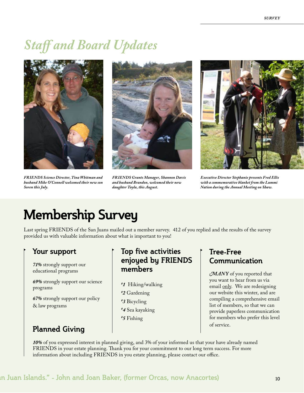## *Staff and Board Updates*



*FRIENDS Science Director, Tina Whitman and husband Mike O'Connell welcomed their new son Soren this July.*



*FRIENDS Grants Manager, Shannon Davis and husband Brandon, welcomed their new daughter Tayla, this August.*



*Executive Director Stephanie presents Fred Ellis with a commemorative blanket from the Lummi Nation during the Annual Meeting on Shaw.* 

## **Membership Survey**

Last spring FRIENDS of the San Juans mailed out a member survey. 412 of you replied and the results of the survey provided us with valuable information about what is important to you!

#### **Your support**

*71%* strongly support our educational programs

*69%* strongly support our science programs

*67%* strongly support our policy & law programs

### **Planned Giving Planned Giving**

#### **Top five activities enjoyed by Friends members**

- *# 1* Hiking/walking
- *# 2* Gardening
- *# 3* Bicycling
- *# 4* Sea kayaking
- *# 5* Fishing

#### **Tree-Free Communication**

*MANY* of you reported that you want to hear from us via email only. We are redesigning our website this winter, and are compiling a comprehensive email list of members, so that we can provide paperless communication for members who prefer this level

*10%* of you expressed interest in planned giving, and 3% of your informed us that your have already named FRIENDS in your estate planning. Thank you for your commitment to our long term success. For more information about including FRIENDS in you estate planning, please contact our office.